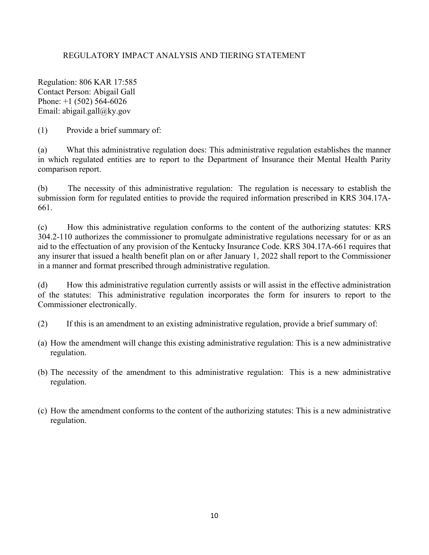## REGULATORY IMPACT ANALYSIS AND TIERING STATEMENT

Regulation: 806 KAR 17:585 Contact Person: Abigail Gall Phone: +1 (502) 564-6026 Email: abigail.gall@ky.gov

(1) Provide a brief summary of:

(a) What this administrative regulation does: This administrative regulation establishes the manner in which regulated entities are to report to the Department of Insurance their Mental Health Parity comparison report.

(b) The necessity of this administrative regulation: The regulation is necessary to establish the submission form for regulated entities to provide the required information prescribed in KRS 304.17A-661.

(c) How this administrative regulation conforms to the content of the authorizing statutes: KRS 304.2-110 authorizes the commissioner to promulgate administrative regulations necessary for or as an aid to the effectuation of any provision of the Kentucky Insurance Code. KRS 304.17A-661 requires that any insurer that issued a health benefit plan on or after January 1, 2022 shall report to the Commissioner in a manner and format prescribed through administrative regulation.

(d) How this administrative regulation currently assists or will assist in the effective administration of the statutes: This administrative regulation incorporates the form for insurers to report to the Commissioner electronically.

- (2) If this is an amendment to an existing administrative regulation, provide a brief summary of:
- (a) How the amendment will change this existing administrative regulation: This is a new administrative regulation.
- (b) The necessity of the amendment to this administrative regulation: This is a new administrative regulation.
- (c) How the amendment conforms to the content of the authorizing statutes: This is a new administrative regulation.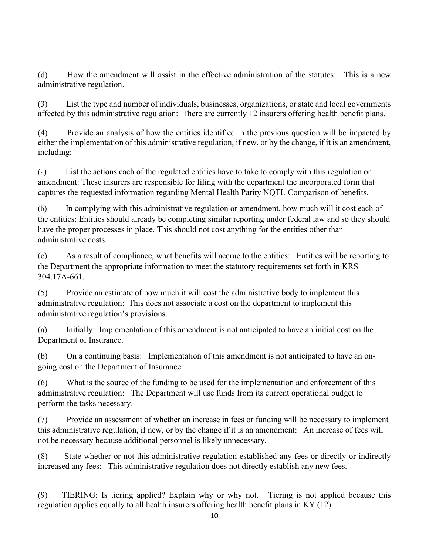(d) How the amendment will assist in the effective administration of the statutes: This is a new administrative regulation.

(3) List the type and number of individuals, businesses, organizations, or state and local governments affected by this administrative regulation: There are currently 12 insurers offering health benefit plans.

(4) Provide an analysis of how the entities identified in the previous question will be impacted by either the implementation of this administrative regulation, if new, or by the change, if it is an amendment, including:

(a) List the actions each of the regulated entities have to take to comply with this regulation or amendment: These insurers are responsible for filing with the department the incorporated form that captures the requested information regarding Mental Health Parity NQTL Comparison of benefits.

(b) In complying with this administrative regulation or amendment, how much will it cost each of the entities: Entities should already be completing similar reporting under federal law and so they should have the proper processes in place. This should not cost anything for the entities other than administrative costs.

(c) As a result of compliance, what benefits will accrue to the entities: Entities will be reporting to the Department the appropriate information to meet the statutory requirements set forth in KRS 304.17A-661.

(5) Provide an estimate of how much it will cost the administrative body to implement this administrative regulation: This does not associate a cost on the department to implement this administrative regulation's provisions.

(a) Initially: Implementation of this amendment is not anticipated to have an initial cost on the Department of Insurance.

(b) On a continuing basis: Implementation of this amendment is not anticipated to have an ongoing cost on the Department of Insurance.

(6) What is the source of the funding to be used for the implementation and enforcement of this administrative regulation: The Department will use funds from its current operational budget to perform the tasks necessary.

(7) Provide an assessment of whether an increase in fees or funding will be necessary to implement this administrative regulation, if new, or by the change if it is an amendment: An increase of fees will not be necessary because additional personnel is likely unnecessary.

(8) State whether or not this administrative regulation established any fees or directly or indirectly increased any fees: This administrative regulation does not directly establish any new fees.

(9) TIERING: Is tiering applied? Explain why or why not. Tiering is not applied because this regulation applies equally to all health insurers offering health benefit plans in KY (12).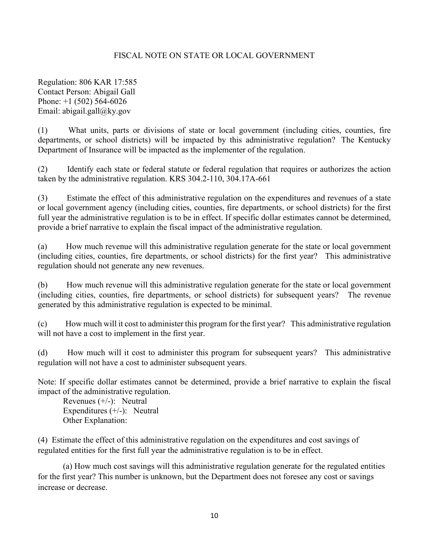## FISCAL NOTE ON STATE OR LOCAL GOVERNMENT

Regulation: 806 KAR 17:585 Contact Person: Abigail Gall Phone: +1 (502) 564-6026 Email: abigail.gall@ky.gov

(1) What units, parts or divisions of state or local government (including cities, counties, fire departments, or school districts) will be impacted by this administrative regulation? The Kentucky Department of Insurance will be impacted as the implementer of the regulation.

(2) Identify each state or federal statute or federal regulation that requires or authorizes the action taken by the administrative regulation. KRS 304.2-110, 304.17A-661

(3) Estimate the effect of this administrative regulation on the expenditures and revenues of a state or local government agency (including cities, counties, fire departments, or school districts) for the first full year the administrative regulation is to be in effect. If specific dollar estimates cannot be determined, provide a brief narrative to explain the fiscal impact of the administrative regulation.

(a) How much revenue will this administrative regulation generate for the state or local government (including cities, counties, fire departments, or school districts) for the first year? This administrative regulation should not generate any new revenues.

(b) How much revenue will this administrative regulation generate for the state or local government (including cities, counties, fire departments, or school districts) for subsequent years? The revenue generated by this administrative regulation is expected to be minimal.

(c) How much will it cost to administer this program for the first year? This administrative regulation will not have a cost to implement in the first year.

(d) How much will it cost to administer this program for subsequent years? This administrative regulation will not have a cost to administer subsequent years.

Note: If specific dollar estimates cannot be determined, provide a brief narrative to explain the fiscal impact of the administrative regulation.

Revenues (+/-): Neutral Expenditures  $(+/-)$ : Neutral Other Explanation:

(4) Estimate the effect of this administrative regulation on the expenditures and cost savings of regulated entities for the first full year the administrative regulation is to be in effect.

(a) How much cost savings will this administrative regulation generate for the regulated entities for the first year? This number is unknown, but the Department does not foresee any cost or savings increase or decrease.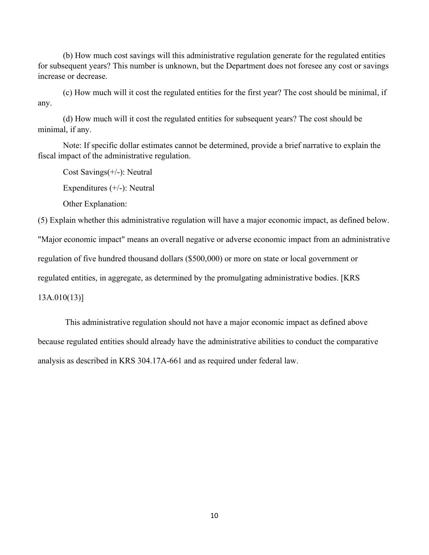(b) How much cost savings will this administrative regulation generate for the regulated entities for subsequent years? This number is unknown, but the Department does not foresee any cost or savings increase or decrease.

(c) How much will it cost the regulated entities for the first year? The cost should be minimal, if any.

(d) How much will it cost the regulated entities for subsequent years? The cost should be minimal, if any.

Note: If specific dollar estimates cannot be determined, provide a brief narrative to explain the fiscal impact of the administrative regulation.

Cost Savings(+/-): Neutral

Expenditures (+/-): Neutral

Other Explanation:

(5) Explain whether this administrative regulation will have a major economic impact, as defined below.

"Major economic impact" means an overall negative or adverse economic impact from an administrative

regulation of five hundred thousand dollars (\$500,000) or more on state or local government or

regulated entities, in aggregate, as determined by the promulgating administrative bodies. [KRS

13A.010(13)]

This administrative regulation should not have a major economic impact as defined above because regulated entities should already have the administrative abilities to conduct the comparative analysis as described in KRS 304.17A-661 and as required under federal law.